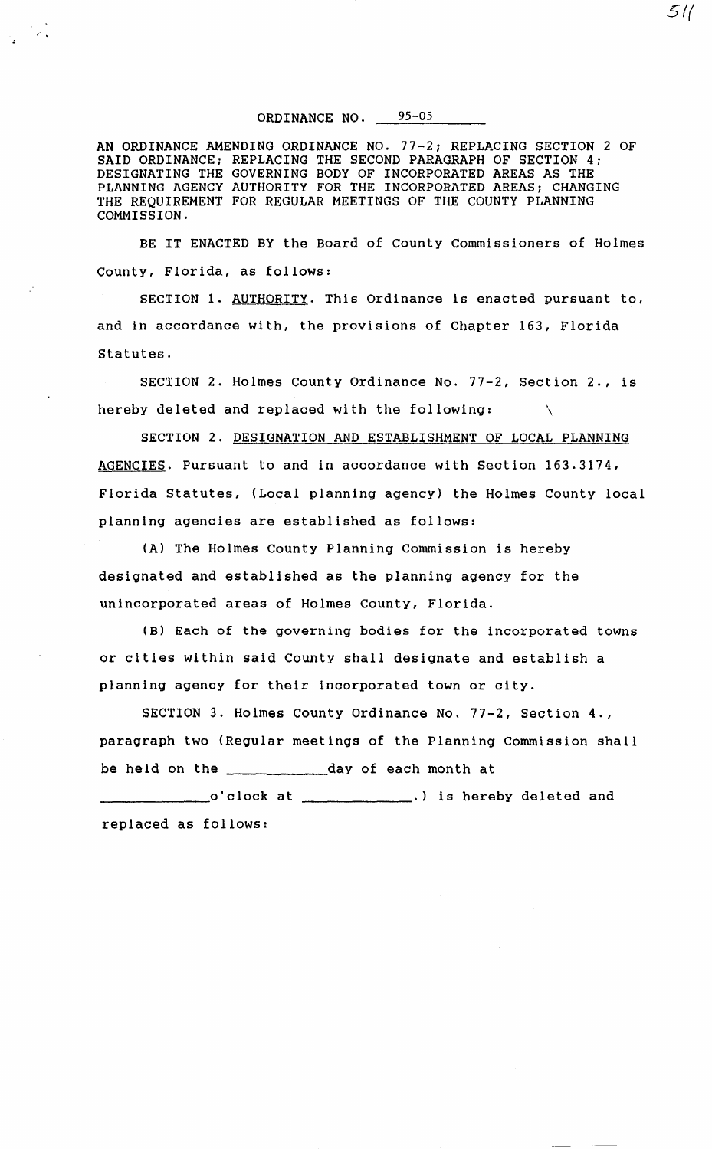ORDINANCE NO. 95-05

AN ORDINANCE AMENDING ORDINANCE NO. 77-2; REPLACING SECTION 2 OF SAID ORDINANCE; REPLACING THE SECOND PARAGRAPH OF SECTION 4; DESIGNATING THE GOVERNING BODY OF INCORPORATED AREAS AS THE PLANNING AGENCY AUTHORITY FOR THE INCORPORATED AREAS; CHANGING THE REQUIREMENT FOR REGULAR MEETINGS OF THE COUNTY PLANNING COMMISSION.

BE IT ENACTED BY the Board of County Commissioners of Holmes County, Florida, as follows:

SECTION 1. AUTHORITY. This Ordinance is enacted pursuant to, and in accordance with, the provisions of Chapter 163, Florida Statutes.

SECTION 2. Holmes County Ordinance No. 77-2, Section 2., is hereby deleted and replaced with the following: \

SECTION 2. DESIGNATION AND ESTABLISHMENT OF LOCAL PLANNING AGENCIES. Pursuant to and in accordance with Section 163.3174, Florida Statutes, (Local planning agency) the Holmes County local planning agencies are established as follows:

(A) The Holmes County Planning Commission is hereby designated and established as the planning agency for the unincorporated areas of Holmes County, Florida.

(B) Each of the governing bodies for the incorporated towns or cities within said County shall designate and establish a planning agency for their incorporated town or city.

SECTION 3. Holmes County Ordinance No. 77-2, Section 4., paragraph two (Regular meetings of the Planning Commission shall be held on the ~~--~----day of each month at

o'clock at \_\_\_\_\_\_\_\_\_\_\_\_\_.) is hereby deleted and replaced as follows:

511